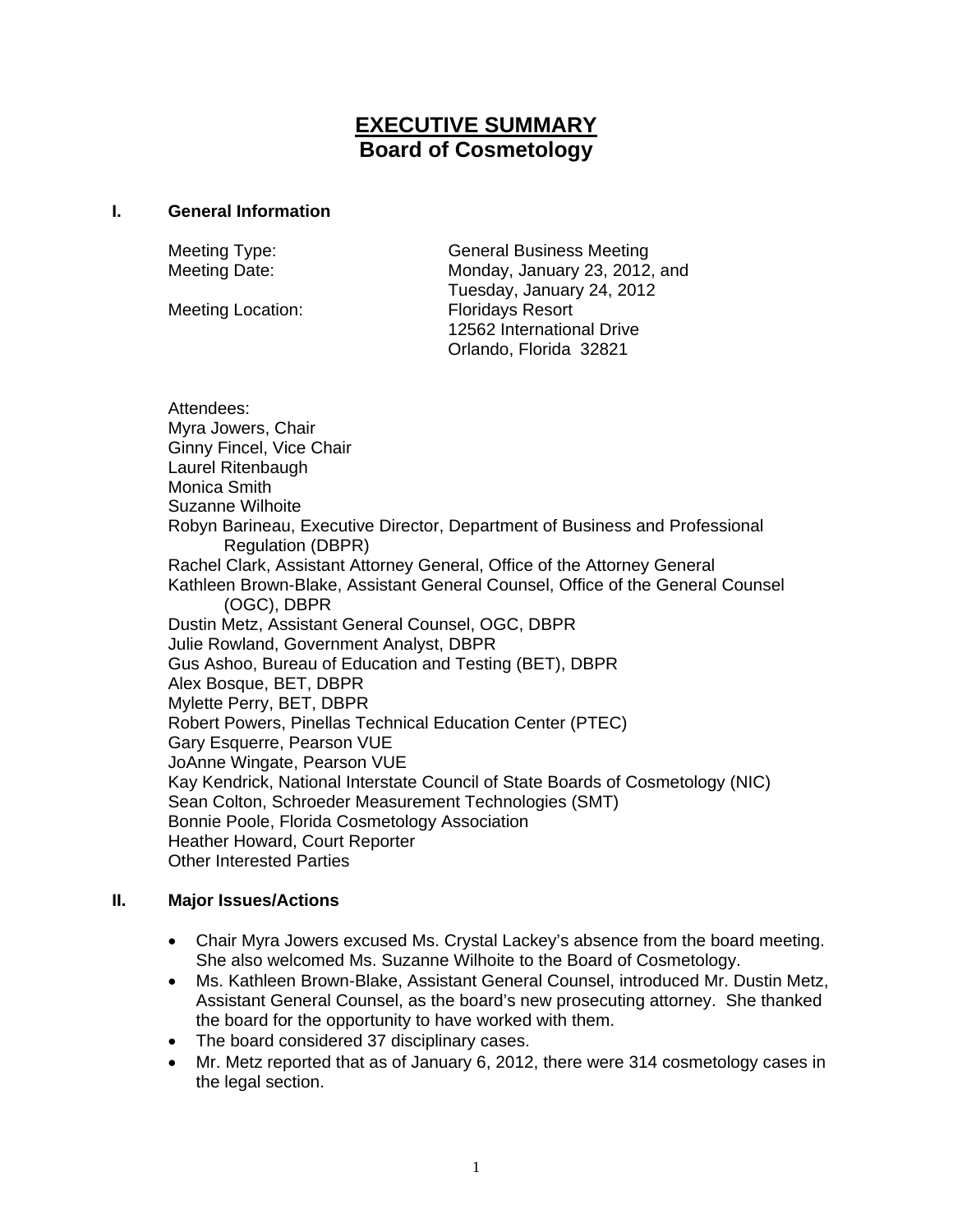# **EXECUTIVE SUMMARY Board of Cosmetology**

#### **I. General Information**

Meeting Location: Floridays Resort

Meeting Type: General Business Meeting Meeting Date: Monday, January 23, 2012, and Tuesday, January 24, 2012 12562 International Drive Orlando, Florida 32821

Attendees: Myra Jowers, Chair Ginny Fincel, Vice Chair Laurel Ritenbaugh Monica Smith Suzanne Wilhoite Robyn Barineau, Executive Director, Department of Business and Professional Regulation (DBPR) Rachel Clark, Assistant Attorney General, Office of the Attorney General Kathleen Brown-Blake, Assistant General Counsel, Office of the General Counsel (OGC), DBPR Dustin Metz, Assistant General Counsel, OGC, DBPR Julie Rowland, Government Analyst, DBPR Gus Ashoo, Bureau of Education and Testing (BET), DBPR Alex Bosque, BET, DBPR Mylette Perry, BET, DBPR Robert Powers, Pinellas Technical Education Center (PTEC) Gary Esquerre, Pearson VUE JoAnne Wingate, Pearson VUE Kay Kendrick, National Interstate Council of State Boards of Cosmetology (NIC) Sean Colton, Schroeder Measurement Technologies (SMT) Bonnie Poole, Florida Cosmetology Association Heather Howard, Court Reporter Other Interested Parties

## **II. Major Issues/Actions**

- Chair Myra Jowers excused Ms. Crystal Lackey's absence from the board meeting. She also welcomed Ms. Suzanne Wilhoite to the Board of Cosmetology.
- Ms. Kathleen Brown-Blake, Assistant General Counsel, introduced Mr. Dustin Metz, Assistant General Counsel, as the board's new prosecuting attorney. She thanked the board for the opportunity to have worked with them.
- The board considered 37 disciplinary cases.
- Mr. Metz reported that as of January 6, 2012, there were 314 cosmetology cases in the legal section.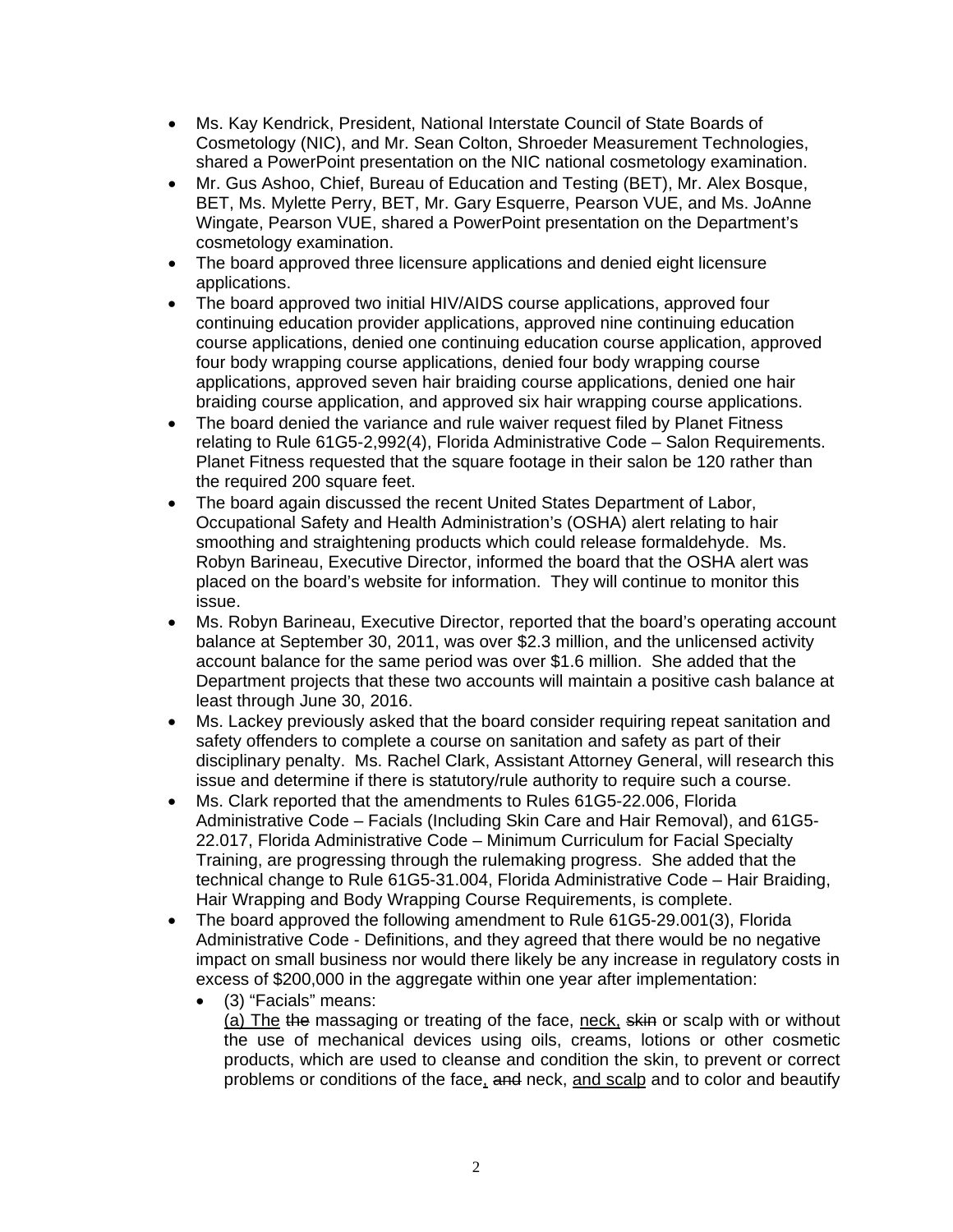- Ms. Kay Kendrick, President, National Interstate Council of State Boards of Cosmetology (NIC), and Mr. Sean Colton, Shroeder Measurement Technologies, shared a PowerPoint presentation on the NIC national cosmetology examination.
- Mr. Gus Ashoo, Chief, Bureau of Education and Testing (BET), Mr. Alex Bosque, BET, Ms. Mylette Perry, BET, Mr. Gary Esquerre, Pearson VUE, and Ms. JoAnne Wingate, Pearson VUE, shared a PowerPoint presentation on the Department's cosmetology examination.
- The board approved three licensure applications and denied eight licensure applications.
- The board approved two initial HIV/AIDS course applications, approved four continuing education provider applications, approved nine continuing education course applications, denied one continuing education course application, approved four body wrapping course applications, denied four body wrapping course applications, approved seven hair braiding course applications, denied one hair braiding course application, and approved six hair wrapping course applications.
- The board denied the variance and rule waiver request filed by Planet Fitness relating to Rule 61G5-2,992(4), Florida Administrative Code – Salon Requirements. Planet Fitness requested that the square footage in their salon be 120 rather than the required 200 square feet.
- The board again discussed the recent United States Department of Labor, Occupational Safety and Health Administration's (OSHA) alert relating to hair smoothing and straightening products which could release formaldehyde. Ms. Robyn Barineau, Executive Director, informed the board that the OSHA alert was placed on the board's website for information. They will continue to monitor this issue.
- Ms. Robyn Barineau, Executive Director, reported that the board's operating account balance at September 30, 2011, was over \$2.3 million, and the unlicensed activity account balance for the same period was over \$1.6 million. She added that the Department projects that these two accounts will maintain a positive cash balance at least through June 30, 2016.
- Ms. Lackey previously asked that the board consider requiring repeat sanitation and safety offenders to complete a course on sanitation and safety as part of their disciplinary penalty. Ms. Rachel Clark, Assistant Attorney General, will research this issue and determine if there is statutory/rule authority to require such a course.
- Ms. Clark reported that the amendments to Rules 61G5-22.006, Florida Administrative Code – Facials (Including Skin Care and Hair Removal), and 61G5- 22.017, Florida Administrative Code – Minimum Curriculum for Facial Specialty Training, are progressing through the rulemaking progress. She added that the technical change to Rule 61G5-31.004, Florida Administrative Code – Hair Braiding, Hair Wrapping and Body Wrapping Course Requirements, is complete.
- The board approved the following amendment to Rule 61G5-29.001(3), Florida Administrative Code - Definitions, and they agreed that there would be no negative impact on small business nor would there likely be any increase in regulatory costs in excess of \$200,000 in the aggregate within one year after implementation:
	- (3) "Facials" means: (a) The the massaging or treating of the face, neck, skin or scalp with or without the use of mechanical devices using oils, creams, lotions or other cosmetic products, which are used to cleanse and condition the skin, to prevent or correct problems or conditions of the face, and neck, and scalp and to color and beautify